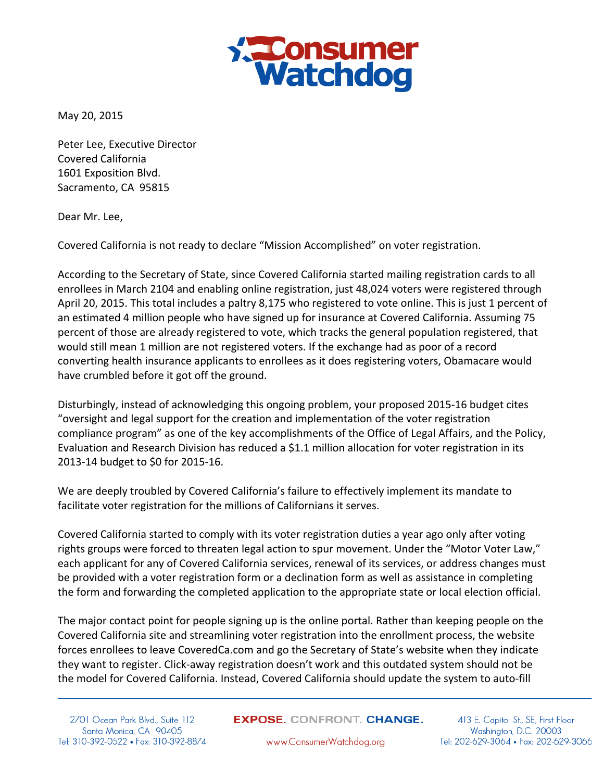

May 20, 2015

Peter Lee, Executive Director Covered California 1601 Exposition Blvd. Sacramento, CA 95815

Dear Mr. Lee,

Covered California is not ready to declare "Mission Accomplished" on voter registration.

According to the Secretary of State, since Covered California started mailing registration cards to all enrollees in March 2104 and enabling online registration, just 48,024 voters were registered through April 20, 2015. This total includes a paltry 8,175 who registered to vote online. This is just 1 percent of an estimated 4 million people who have signed up for insurance at Covered California. Assuming 75 percent of those are already registered to vote, which tracks the general population registered, that would still mean 1 million are not registered voters. If the exchange had as poor of a record converting health insurance applicants to enrollees as it does registering voters, Obamacare would have crumbled before it got off the ground.

Disturbingly, instead of acknowledging this ongoing problem, your proposed 2015-16 budget cites "oversight and legal support for the creation and implementation of the voter registration compliance program" as one of the key accomplishments of the Office of Legal Affairs, and the Policy, Evaluation and Research Division has reduced a \$1.1 million allocation for voter registration in its 2013-14 budget to \$0 for 2015-16.

We are deeply troubled by Covered California's failure to effectively implement its mandate to facilitate voter registration for the millions of Californians it serves.

Covered California started to comply with its voter registration duties a year ago only after voting rights groups were forced to threaten legal action to spur movement. Under the "Motor Voter Law," each applicant for any of Covered California services, renewal of its services, or address changes must be provided with a voter registration form or a declination form as well as assistance in completing the form and forwarding the completed application to the appropriate state or local election official.

The major contact point for people signing up is the online portal. Rather than keeping people on the Covered California site and streamlining voter registration into the enrollment process, the website forces enrollees to leave CoveredCa.com and go the Secretary of State's website when they indicate they want to register. Click-away registration doesn't work and this outdated system should not be the model for Covered California. Instead, Covered California should update the system to auto-fill

2701 Ocean Park Blvd., Suite 112 Santa Monica, CA 90405 Tel: 310-392-0522 • Fax: 310-392-8874 **EXPOSE.** CONFRONT. CHANGE.

413 E. Capitol St., SE, First Floor Washington, D.C. 20003 Tel: 202-629-3064 • Fax: 202-629-3066

www.ConsumerWatchdog.org